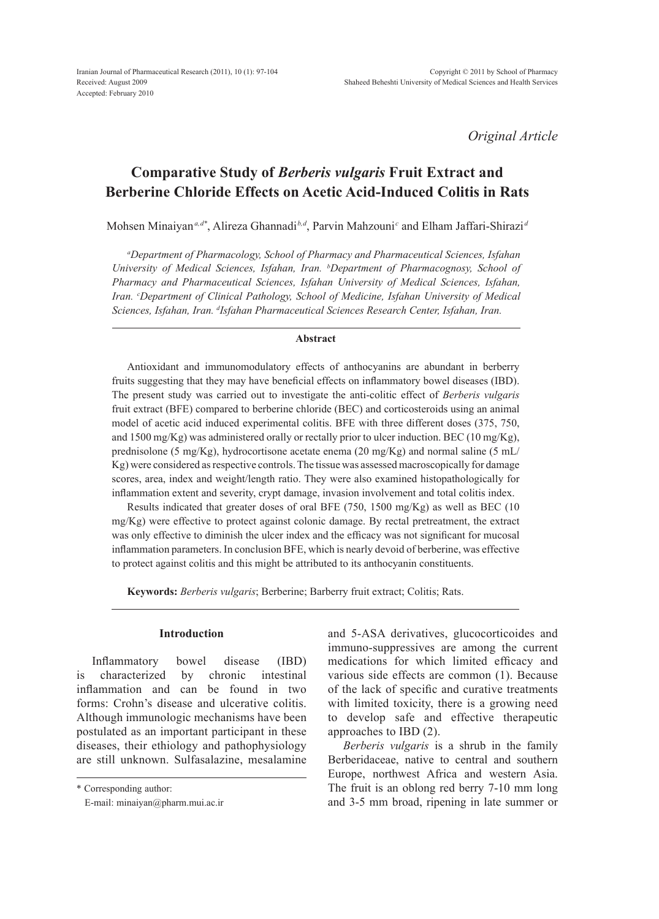*Original Article*

# **Comparative Study of** *Berberis vulgaris* **Fruit Extract and Berberine Chloride Effects on Acetic Acid-Induced Colitis in Rats**

Mohsen Minaiyan*a,d\**, Alireza Ghannadi*b,d*, Parvin Mahzouni*<sup>c</sup>* and Elham Jaffari-Shirazi *<sup>d</sup>*

*a Department of Pharmacology, School of Pharmacy and Pharmaceutical Sciences, Isfahan University of Medical Sciences, Isfahan, Iran. b Department of Pharmacognosy, School of Pharmacy and Pharmaceutical Sciences, Isfahan University of Medical Sciences, Isfahan, Iran. c Department of Clinical Pathology, School of Medicine, Isfahan University of Medical*  Sciences, Isfahan, Iran. <sup>d</sup>Isfahan Pharmaceutical Sciences Research Center, Isfahan, Iran.

#### **Abstract**

Antioxidant and immunomodulatory effects of anthocyanins are abundant in berberry fruits suggesting that they may have beneficial effects on inflammatory bowel diseases (IBD). The present study was carried out to investigate the anti-colitic effect of *Berberis vulgaris* fruit extract (BFE) compared to berberine chloride (BEC) and corticosteroids using an animal model of acetic acid induced experimental colitis. BFE with three different doses (375, 750, and 1500 mg/Kg) was administered orally or rectally prior to ulcer induction. BEC (10 mg/Kg), prednisolone (5 mg/Kg), hydrocortisone acetate enema (20 mg/Kg) and normal saline (5 mL/ Kg) were considered as respective controls. The tissue was assessed macroscopically for damage scores, area, index and weight/length ratio. They were also examined histopathologically for inflammation extent and severity, crypt damage, invasion involvement and total colitis index.

Results indicated that greater doses of oral BFE (750, 1500 mg/Kg) as well as BEC (10 mg/Kg) were effective to protect against colonic damage. By rectal pretreatment, the extract was only effective to diminish the ulcer index and the efficacy was not significant for mucosal inflammation parameters. In conclusion BFE, which is nearly devoid of berberine, was effective to protect against colitis and this might be attributed to its anthocyanin constituents.

**Keywords:** *Berberis vulgaris*; Berberine; Barberry fruit extract; Colitis; Rats.

#### **Introduction**

Inflammatory bowel disease (IBD) is characterized by chronic intestinal inflammation and can be found in two forms: Crohn's disease and ulcerative colitis. Although immunologic mechanisms have been postulated as an important participant in these diseases, their ethiology and pathophysiology are still unknown. Sulfasalazine, mesalamine and 5-ASA derivatives, glucocorticoides and immuno-suppressives are among the current medications for which limited efficacy and various side effects are common (1). Because of the lack of specific and curative treatments with limited toxicity, there is a growing need to develop safe and effective therapeutic approaches to IBD (2).

*Berberis vulgaris* is a shrub in the family Berberidaceae, native to central and southern Europe, northwest Africa and western Asia. The fruit is an oblong red berry 7-10 mm long and 3-5 mm broad, ripening in late summer or

<sup>\*</sup> Corresponding author:

E-mail: minaiyan@pharm.mui.ac.ir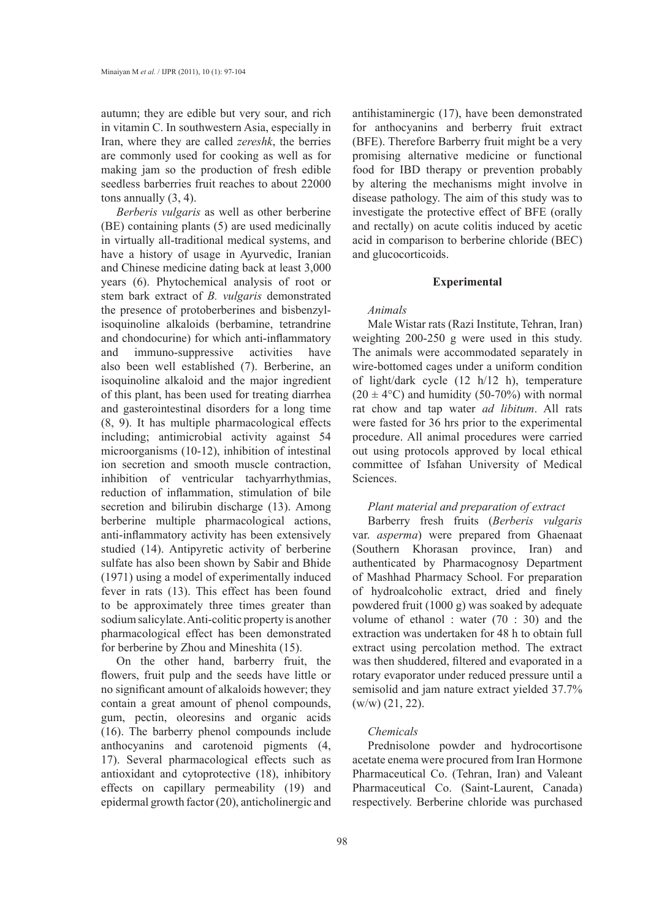autumn; they are edible but very sour, and rich in vitamin C. In southwestern Asia, especially in Iran, where they are called *zereshk*, the berries are commonly used for cooking as well as for making jam so the production of fresh edible seedless barberries fruit reaches to about 22000 tons annually (3, 4).

*Berberis vulgaris* as well as other berberine (BE) containing plants (5) are used medicinally in virtually all-traditional medical systems, and have a history of usage in Ayurvedic, Iranian and Chinese medicine dating back at least 3,000 years (6). Phytochemical analysis of root or stem bark extract of *B. vulgaris* demonstrated the presence of protoberberines and bisbenzylisoquinoline alkaloids (berbamine, tetrandrine and chondocurine) for which anti-inflammatory and immuno-suppressive activities have also been well established (7). Berberine, an isoquinoline alkaloid and the major ingredient of this plant, has been used for treating diarrhea and gasterointestinal disorders for a long time (8, 9). It has multiple pharmacological effects including; antimicrobial activity against 54 microorganisms (10-12), inhibition of intestinal ion secretion and smooth muscle contraction, inhibition of ventricular tachyarrhythmias, reduction of inflammation, stimulation of bile secretion and bilirubin discharge (13). Among berberine multiple pharmacological actions, anti-inflammatory activity has been extensively studied (14). Antipyretic activity of berberine sulfate has also been shown by Sabir and Bhide (1971) using a model of experimentally induced fever in rats (13). This effect has been found to be approximately three times greater than sodium salicylate. Anti-colitic property is another pharmacological effect has been demonstrated for berberine by Zhou and Mineshita (15).

On the other hand, barberry fruit, the flowers, fruit pulp and the seeds have little or no significant amount of alkaloids however; they contain a great amount of phenol compounds, gum, pectin, oleoresins and organic acids (16). The barberry phenol compounds include anthocyanins and carotenoid pigments (4, 17). Several pharmacological effects such as antioxidant and cytoprotective (18), inhibitory effects on capillary permeability (19) and epidermal growth factor (20), anticholinergic and

antihistaminergic (17), have been demonstrated for anthocyanins and berberry fruit extract (BFE). Therefore Barberry fruit might be a very promising alternative medicine or functional food for IBD therapy or prevention probably by altering the mechanisms might involve in disease pathology. The aim of this study was to investigate the protective effect of BFE (orally and rectally) on acute colitis induced by acetic acid in comparison to berberine chloride (BEC) and glucocorticoids.

#### **Experimental**

# *Animals*

Male Wistar rats (Razi Institute, Tehran, Iran) weighting 200-250 g were used in this study. The animals were accommodated separately in wire-bottomed cages under a uniform condition of light/dark cycle (12 h/12 h), temperature  $(20 \pm 4$ °C) and humidity (50-70%) with normal rat chow and tap water *ad libitum*. All rats were fasted for 36 hrs prior to the experimental procedure. All animal procedures were carried out using protocols approved by local ethical committee of Isfahan University of Medical Sciences.

# *Plant material and preparation of extract*

Barberry fresh fruits (*Berberis vulgaris*  var. *asperma*) were prepared from Ghaenaat (Southern Khorasan province, Iran) and authenticated by Pharmacognosy Department of Mashhad Pharmacy School. For preparation of hydroalcoholic extract, dried and finely powdered fruit (1000 g) was soaked by adequate volume of ethanol : water (70 : 30) and the extraction was undertaken for 48 h to obtain full extract using percolation method. The extract was then shuddered, filtered and evaporated in a rotary evaporator under reduced pressure until a semisolid and jam nature extract yielded 37.7%  $(w/w)$  (21, 22).

# *Chemicals*

Prednisolone powder and hydrocortisone acetate enema were procured from Iran Hormone Pharmaceutical Co. (Tehran, Iran) and Valeant Pharmaceutical Co. (Saint-Laurent, Canada) respectively. Berberine chloride was purchased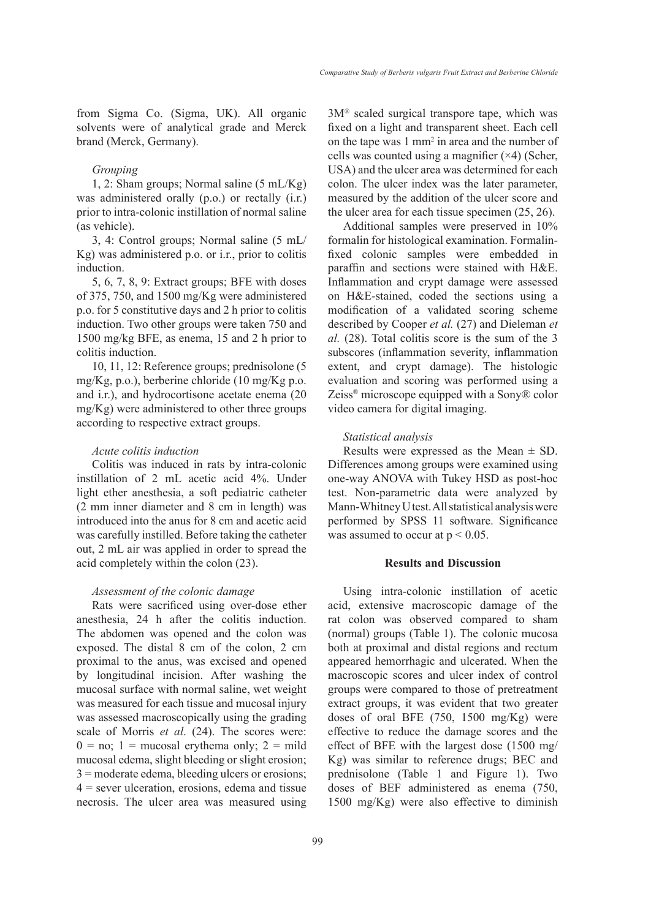from Sigma Co. (Sigma, UK). All organic solvents were of analytical grade and Merck brand (Merck, Germany).

#### *Grouping*

1, 2: Sham groups; Normal saline (5 mL/Kg) was administered orally (p.o.) or rectally (i.r.) prior to intra-colonic instillation of normal saline (as vehicle).

3, 4: Control groups; Normal saline (5 mL/ Kg) was administered p.o. or i.r., prior to colitis induction.

5, 6, 7, 8, 9: Extract groups; BFE with doses of 375, 750, and 1500 mg/Kg were administered p.o. for 5 constitutive days and 2 h prior to colitis induction. Two other groups were taken 750 and 1500 mg/kg BFE, as enema, 15 and 2 h prior to colitis induction.

10, 11, 12: Reference groups; prednisolone (5 mg/Kg, p.o.), berberine chloride (10 mg/Kg p.o. and i.r.), and hydrocortisone acetate enema (20 mg/Kg) were administered to other three groups according to respective extract groups.

# *Acute colitis induction*

Colitis was induced in rats by intra-colonic instillation of 2 mL acetic acid 4%. Under light ether anesthesia, a soft pediatric catheter (2 mm inner diameter and 8 cm in length) was introduced into the anus for 8 cm and acetic acid was carefully instilled. Before taking the catheter out, 2 mL air was applied in order to spread the acid completely within the colon (23).

# *Assessment of the colonic damage*

Rats were sacrificed using over-dose ether anesthesia, 24 h after the colitis induction. The abdomen was opened and the colon was exposed. The distal 8 cm of the colon, 2 cm proximal to the anus, was excised and opened by longitudinal incision. After washing the mucosal surface with normal saline, wet weight was measured for each tissue and mucosal injury was assessed macroscopically using the grading scale of Morris *et al*. (24). The scores were:  $0 = no$ ; 1 = mucosal erythema only; 2 = mild mucosal edema, slight bleeding or slight erosion; 3 = moderate edema, bleeding ulcers or erosions; 4 = sever ulceration, erosions, edema and tissue necrosis. The ulcer area was measured using 3M® scaled surgical transpore tape, which was fixed on a light and transparent sheet. Each cell on the tape was  $1 \text{ mm}^2$  in area and the number of cells was counted using a magnifier  $(\times 4)$  (Scher, USA) and the ulcer area was determined for each colon. The ulcer index was the later parameter, measured by the addition of the ulcer score and the ulcer area for each tissue specimen (25, 26).

Additional samples were preserved in 10% formalin for histological examination. Formalinfixed colonic samples were embedded in paraffin and sections were stained with H&E. Inflammation and crypt damage were assessed on H&E-stained, coded the sections using a modification of a validated scoring scheme described by Cooper *et al.* (27) and Dieleman *et al.* (28). Total colitis score is the sum of the 3 subscores (inflammation severity, inflammation extent, and crypt damage). The histologic evaluation and scoring was performed using a Zeiss® microscope equipped with a Sony® color video camera for digital imaging.

# *Statistical analysis*

Results were expressed as the Mean  $\pm$  SD. Differences among groups were examined using one-way ANOVA with Tukey HSD as post-hoc test. Non-parametric data were analyzed by Mann-Whitney U test. All statistical analysis were performed by SPSS 11 software. Significance was assumed to occur at  $p < 0.05$ .

## **Results and Discussion**

Using intra-colonic instillation of acetic acid, extensive macroscopic damage of the rat colon was observed compared to sham (normal) groups (Table 1). The colonic mucosa both at proximal and distal regions and rectum appeared hemorrhagic and ulcerated. When the macroscopic scores and ulcer index of control groups were compared to those of pretreatment extract groups, it was evident that two greater doses of oral BFE (750, 1500 mg/Kg) were effective to reduce the damage scores and the effect of BFE with the largest dose (1500 mg/ Kg) was similar to reference drugs; BEC and prednisolone (Table 1 and Figure 1). Two doses of BEF administered as enema (750, 1500 mg/Kg) were also effective to diminish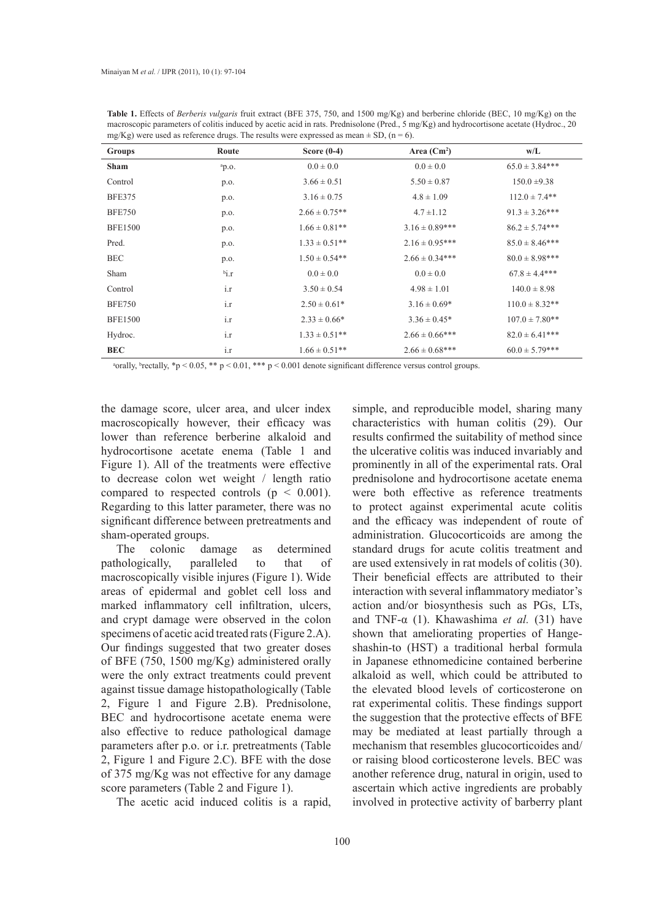| <b>Groups</b>  | Route     | Score $(0-4)$      | Area $(Cm^2)$       | w/L                |
|----------------|-----------|--------------------|---------------------|--------------------|
| <b>Sham</b>    | ap.o.     | $0.0 \pm 0.0$      | $0.0 \pm 0.0$       | $65.0 \pm 3.84***$ |
| Control        | p.o.      | $3.66 \pm 0.51$    | $5.50 \pm 0.87$     | $150.0 \pm 9.38$   |
| <b>BFE375</b>  | p.o.      | $3.16 \pm 0.75$    | $4.8 \pm 1.09$      | $112.0 \pm 7.4**$  |
| <b>BFE750</b>  | p.o.      | $2.66 \pm 0.75**$  | $4.7 \pm 1.12$      | $91.3 \pm 3.26***$ |
| <b>BFE1500</b> | p.o.      | $1.66 \pm 0.81**$  | $3.16 \pm 0.89***$  | $86.2 \pm 5.74***$ |
| Pred.          | p.o.      | $1.33 \pm 0.51$ ** | $2.16 \pm 0.95***$  | $85.0 \pm 8.46***$ |
| <b>BEC</b>     | p.o.      | $1.50 \pm 0.54**$  | $2.66 \pm 0.34***$  | $80.0 \pm 8.98***$ |
| Sham           | $b_{1,T}$ | $0.0 \pm 0.0$      | $0.0 \pm 0.0$       | $67.8 \pm 4.4$ *** |
| Control        | i.r       | $3.50 \pm 0.54$    | $4.98 \pm 1.01$     | $140.0 \pm 8.98$   |
| <b>BFE750</b>  | i.r       | $2.50 \pm 0.61*$   | $3.16 \pm 0.69*$    | $110.0 \pm 8.32**$ |
| <b>BFE1500</b> | i.r       | $2.33 \pm 0.66*$   | $3.36 \pm 0.45*$    | $107.0 \pm 7.80**$ |
| Hydroc.        | i.r       | $1.33 \pm 0.51$ ** | $2.66 \pm 0.66$ *** | $82.0 \pm 6.41***$ |
| <b>BEC</b>     | i.r       | $1.66 \pm 0.51$ ** | $2.66 \pm 0.68$ *** | $60.0 \pm 5.79***$ |

**Table 1.** Effects of *Berberis vulgaris* fruit extract (BFE 375, 750, and 1500 mg/Kg) and berberine chloride (BEC, 10 mg/Kg) on the macroscopic parameters of colitis induced by acetic acid in rats. Prednisolone (Pred., 5 mg/Kg) and hydrocortisone acetate (Hydroc., 20 mg/Kg) were used as reference drugs. The results were expressed as mean  $\pm$  SD, (n = 6).

a orally, betally,  $\gamma$   $\leq$  0.05,  $\ast$   $\gamma$   $\leq$  0.01,  $\ast$   $\ast$   $\gamma$   $\leq$  0.001 denote significant difference versus control groups.

the damage score, ulcer area, and ulcer index macroscopically however, their efficacy was lower than reference berberine alkaloid and hydrocortisone acetate enema (Table 1 and Figure 1). All of the treatments were effective to decrease colon wet weight / length ratio compared to respected controls ( $p < 0.001$ ). Regarding to this latter parameter, there was no significant difference between pretreatments and sham-operated groups.

The colonic damage as determined pathologically, paralleled to that of macroscopically visible injures (Figure 1). Wide areas of epidermal and goblet cell loss and marked inflammatory cell infiltration, ulcers, and crypt damage were observed in the colon specimens of acetic acid treated rats (Figure 2.A). Our findings suggested that two greater doses of BFE (750, 1500 mg/Kg) administered orally were the only extract treatments could prevent against tissue damage histopathologically (Table 2, Figure 1 and Figure 2.B). Prednisolone, BEC and hydrocortisone acetate enema were also effective to reduce pathological damage parameters after p.o. or i.r. pretreatments (Table 2, Figure 1 and Figure 2.C). BFE with the dose of 375 mg/Kg was not effective for any damage score parameters (Table 2 and Figure 1).

The acetic acid induced colitis is a rapid,

simple, and reproducible model, sharing many characteristics with human colitis (29). Our results confirmed the suitability of method since the ulcerative colitis was induced invariably and prominently in all of the experimental rats. Oral prednisolone and hydrocortisone acetate enema were both effective as reference treatments to protect against experimental acute colitis and the efficacy was independent of route of administration. Glucocorticoids are among the standard drugs for acute colitis treatment and are used extensively in rat models of colitis (30). Their beneficial effects are attributed to their interaction with several inflammatory mediator's action and/or biosynthesis such as PGs, LTs, and TNF-α (1). Khawashima *et al.* (31) have shown that ameliorating properties of Hangeshashin-to (HST) a traditional herbal formula in Japanese ethnomedicine contained berberine alkaloid as well, which could be attributed to the elevated blood levels of corticosterone on rat experimental colitis. These findings support the suggestion that the protective effects of BFE may be mediated at least partially through a mechanism that resembles glucocorticoides and/ or raising blood corticosterone levels. BEC was another reference drug, natural in origin, used to ascertain which active ingredients are probably involved in protective activity of barberry plant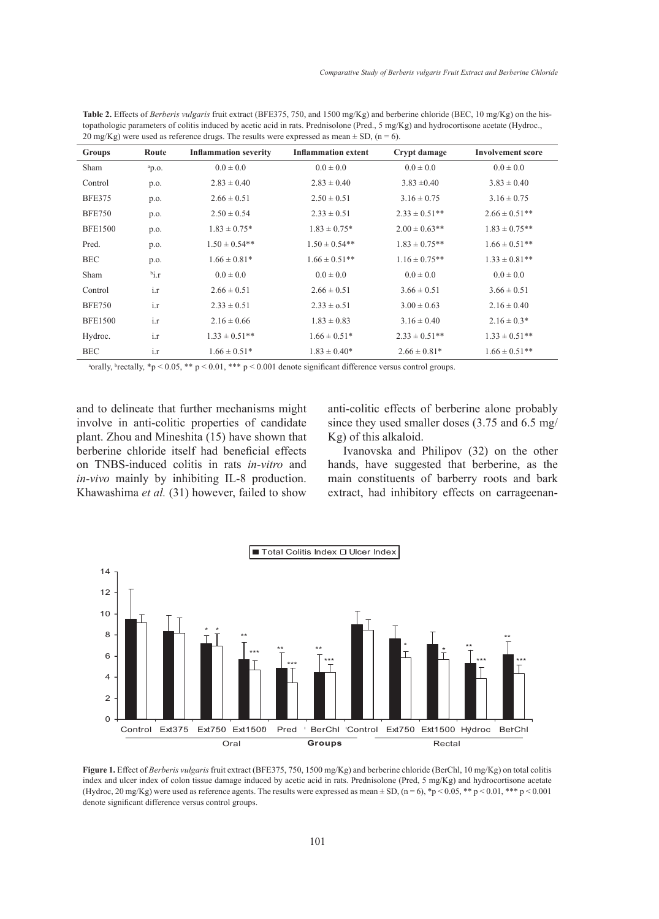| Groups         | Route                     | <b>Inflammation severity</b> | <b>Inflammation extent</b> | Crypt damage       | <b>Involvement score</b> |
|----------------|---------------------------|------------------------------|----------------------------|--------------------|--------------------------|
| Sham           | $a_{p.o.}$                | $0.0 \pm 0.0$                | $0.0 \pm 0.0$              | $0.0 \pm 0.0$      | $0.0 \pm 0.0$            |
| Control        | p.o.                      | $2.83 \pm 0.40$              | $2.83 \pm 0.40$            | $3.83 \pm 0.40$    | $3.83 \pm 0.40$          |
| <b>BFE375</b>  | p.o.                      | $2.66 \pm 0.51$              | $2.50 \pm 0.51$            | $3.16 \pm 0.75$    | $3.16 \pm 0.75$          |
| <b>BFE750</b>  | p.o.                      | $2.50 \pm 0.54$              | $2.33 \pm 0.51$            | $2.33 \pm 0.51$ ** | $2.66 \pm 0.51$ **       |
| <b>BFE1500</b> | p.o.                      | $1.83 \pm 0.75$ *            | $1.83 \pm 0.75$ *          | $2.00 \pm 0.63$ ** | $1.83 \pm 0.75$ **       |
| Pred.          | p.o.                      | $1.50 \pm 0.54**$            | $1.50 \pm 0.54**$          | $1.83 \pm 0.75$ ** | $1.66 \pm 0.51$ **       |
| <b>BEC</b>     | p.o.                      | $1.66 \pm 0.81*$             | $1.66 \pm 0.51**$          | $1.16 \pm 0.75$ ** | $1.33 \pm 0.81$ **       |
| Sham           | $\mathfrak{b}_{1,\Gamma}$ | $0.0 \pm 0.0$                | $0.0 \pm 0.0$              | $0.0 \pm 0.0$      | $0.0 \pm 0.0$            |
| Control        | i.r                       | $2.66 \pm 0.51$              | $2.66 \pm 0.51$            | $3.66 \pm 0.51$    | $3.66 \pm 0.51$          |
| <b>BFE750</b>  | i.r                       | $2.33 \pm 0.51$              | $2.33 \pm 0.51$            | $3.00 \pm 0.63$    | $2.16 \pm 0.40$          |
| <b>BFE1500</b> | i.r                       | $2.16 \pm 0.66$              | $1.83 \pm 0.83$            | $3.16 \pm 0.40$    | $2.16 \pm 0.3*$          |
| Hydroc.        | i.r                       | $1.33 \pm 0.51$ **           | $1.66 \pm 0.51*$           | $2.33 \pm 0.51$ ** | $1.33 \pm 0.51$ **       |
| <b>BEC</b>     | i.r                       | $1.66 \pm 0.51*$             | $1.83 \pm 0.40^*$          | $2.66 \pm 0.81*$   | $1.66 \pm 0.51$ **       |

**Table 2.** Effects of *Berberis vulgaris* fruit extract (BFE375, 750, and 1500 mg/Kg) and berberine chloride (BEC, 10 mg/Kg) on the histopathologic parameters of colitis induced by acetic acid in rats. Prednisolone (Pred., 5 mg/Kg) and hydrocortisone acetate (Hydroc., 20 mg/Kg) were used as reference drugs. The results were expressed as mean  $\pm$  SD, (n = 6).

a orally, betally,  $\gamma$   $> 0.05$ ,  $\ast \gamma$   $> 0.01$ ,  $\ast \ast \gamma$   $> 0.001$  denote significant difference versus control groups.

and to delineate that further mechanisms might involve in anti-colitic properties of candidate plant. Zhou and Mineshita (15) have shown that berberine chloride itself had beneficial effects on TNBS-induced colitis in rats *in-vitro* and *in-vivo* mainly by inhibiting IL-8 production. Khawashima *et al.* (31) however, failed to show anti-colitic effects of berberine alone probably since they used smaller doses (3.75 and 6.5 mg/ Kg) of this alkaloid.

Ivanovska and Philipov (32) on the other hands, have suggested that berberine, as the main constituents of barberry roots and bark extract, had inhibitory effects on carrageenan-



Figure 1. Effect of *Berberis vulgaris* fruit extract (BFE375, 750, 1500 mg/Kg) and berberine chloride (BerChl, 10 mg/Kg) on total colitis index and ulcer index of colon tissue damage induced by acetic acid in rats. Prednisolone (Pred, 5 mg/Kg) and hydrocortisone acetate (Hydroc, 20 mg/Kg) were used as reference agents. The results were expressed as mean  $\pm$  SD, (n = 6), \*p < 0.05, \*\* p < 0.01, \*\*\* p < 0.001 denote significant difference versus control groups.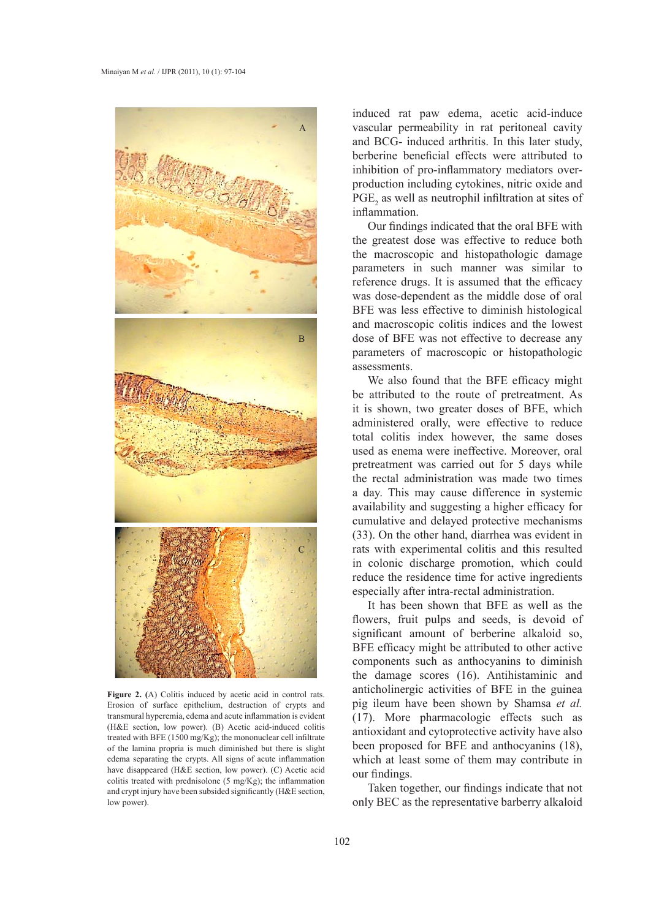

**Figure 2. (**A) Colitis induced by acetic acid in control rats. Erosion of surface epithelium, destruction of crypts and transmural hyperemia, edema and acute inflammation is evident (H&E section, low power). (B) Acetic acid-induced colitis treated with BFE (1500 mg/Kg); the mononuclear cell infiltrate of the lamina propria is much diminished but there is slight edema separating the crypts. All signs of acute inflammation have disappeared (H&E section, low power). (C) Acetic acid colitis treated with prednisolone (5 mg/Kg); the inflammation and crypt injury have been subsided significantly (H&E section, low power).

induced rat paw edema, acetic acid-induce vascular permeability in rat peritoneal cavity and BCG- induced arthritis. In this later study, berberine beneficial effects were attributed to inhibition of pro-inflammatory mediators overproduction including cytokines, nitric oxide and  $PGE_2$  as well as neutrophil infiltration at sites of inflammation.

Our findings indicated that the oral BFE with the greatest dose was effective to reduce both the macroscopic and histopathologic damage parameters in such manner was similar to reference drugs. It is assumed that the efficacy was dose-dependent as the middle dose of oral BFE was less effective to diminish histological and macroscopic colitis indices and the lowest dose of BFE was not effective to decrease any parameters of macroscopic or histopathologic assessments.

We also found that the BFE efficacy might be attributed to the route of pretreatment. As it is shown, two greater doses of BFE, which administered orally, were effective to reduce total colitis index however, the same doses used as enema were ineffective. Moreover, oral pretreatment was carried out for 5 days while the rectal administration was made two times a day. This may cause difference in systemic availability and suggesting a higher efficacy for cumulative and delayed protective mechanisms (33). On the other hand, diarrhea was evident in rats with experimental colitis and this resulted in colonic discharge promotion, which could reduce the residence time for active ingredients especially after intra-rectal administration.

> It has been shown that BFE as well as the flowers, fruit pulps and seeds, is devoid of significant amount of berberine alkaloid so, BFE efficacy might be attributed to other active components such as anthocyanins to diminish the damage scores (16). Antihistaminic and anticholinergic activities of BFE in the guinea pig ileum have been shown by Shamsa *et al.* (17). More pharmacologic effects such as antioxidant and cytoprotective activity have also been proposed for BFE and anthocyanins (18), which at least some of them may contribute in our findings.

> Taken together, our findings indicate that not only BEC as the representative barberry alkaloid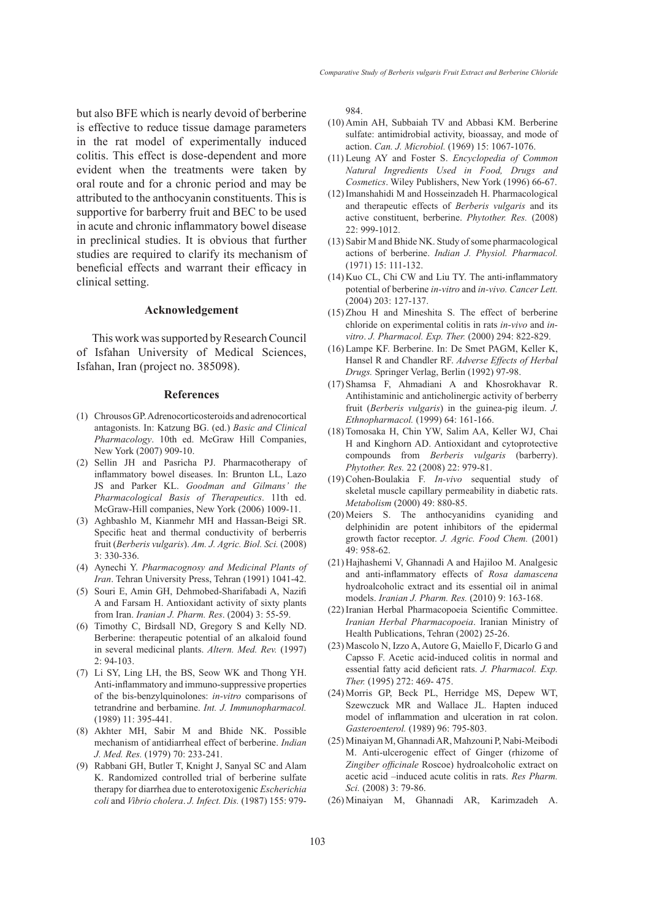but also BFE which is nearly devoid of berberine is effective to reduce tissue damage parameters in the rat model of experimentally induced colitis. This effect is dose-dependent and more evident when the treatments were taken by oral route and for a chronic period and may be attributed to the anthocyanin constituents. This is supportive for barberry fruit and BEC to be used in acute and chronic inflammatory bowel disease in preclinical studies. It is obvious that further studies are required to clarify its mechanism of beneficial effects and warrant their efficacy in clinical setting.

#### **Acknowledgement**

This work was supported by Research Council of Isfahan University of Medical Sciences, Isfahan, Iran (project no. 385098).

#### **References**

- Chrousos GP. Adrenocorticosteroids and adrenocortical (1) antagonists. In: Katzung BG. (ed.) *Basic and Clinical Pharmacology*. 10th ed. McGraw Hill Companies, New York (2007) 909-10.
- (2) Sellin JH and Pasricha PJ. Pharmacotherapy of inflammatory bowel diseases. In: Brunton LL, Lazo JS and Parker KL. *Goodman and Gilmans' the Pharmacological Basis of Therapeutics*. 11th ed. McGraw-Hill companies, New York (2006) 1009-11.
- (3) Aghbashlo M, Kianmehr MH and Hassan-Beigi SR. Specific heat and thermal conductivity of berberris fruit (*Berberis vulgaris*). *Am. J. Agric. Biol. Sci.* (2008) 3: 330-336.
- Aynechi Y. *Pharmacognosy and Medicinal Plants of*  (4) *Iran*. Tehran University Press, Tehran (1991) 1041-42.
- (5) Souri E, Amin GH, Dehmobed-Sharifabadi A, Nazifi A and Farsam H. Antioxidant activity of sixty plants from Iran. *Iranian J. Pharm. Res*. (2004) 3: 55-59.
- Timothy C, Birdsall ND, Gregory S and Kelly ND. (6) Berberine: therapeutic potential of an alkaloid found in several medicinal plants. *Altern. Med. Rev.* (1997) 2: 94-103.
- (7) Li SY, Ling LH, the BS, Seow WK and Thong YH. Anti-inflammatory and immuno-suppressive properties of the bis-benzylquinolones: *in-vitro* comparisons of tetrandrine and berbamine. *Int. J. Immunopharmacol.* (1989) 11: 395-441.
- Akhter MH, Sabir M and Bhide NK. Possible (8) mechanism of antidiarrheal effect of berberine. *Indian J. Med. Res.* (1979) 70: 233-241.
- Rabbani GH, Butler T, Knight J, Sanyal SC and Alam (9) K. Randomized controlled trial of berberine sulfate therapy for diarrhea due to enterotoxigenic *Escherichia coli* and *Vibrio cholera*. *J. Infect. Dis.* (1987) 155: 979-

984.

- (10) Amin AH, Subbaiah TV and Abbasi KM. Berberine sulfate: antimidrobial activity, bioassay, and mode of action. *Can. J. Microbiol.* (1969) 15: 1067-1076.
- Leung AY and Foster S. *Encyclopedia of Common*  (11) *Natural Ingredients Used in Food, Drugs and Cosmetics*. Wiley Publishers, New York (1996) 66-67.
- (12) Imanshahidi M and Hosseinzadeh H. Pharmacological and therapeutic effects of *Berberis vulgaris* and its active constituent, berberine. *Phytother. Res.* (2008) 22: 999-1012.
- (13) Sabir M and Bhide NK. Study of some pharmacological actions of berberine. *Indian J. Physiol. Pharmacol.* (1971) 15: 111-132.
- $(14)$  Kuo CL, Chi CW and Liu TY. The anti-inflammatory potential of berberine *in-vitro* and *in-vivo. Cancer Lett.*  (2004) 203: 127-137.
- $(15)$  Zhou H and Mineshita S. The effect of berberine chloride on experimental colitis in rats *in-vivo* and *invitro*. *J. Pharmacol. Exp. Ther.* (2000) 294: 822-829.
- (16) Lampe KF. Berberine. In: De Smet PAGM, Keller K, Hansel R and Chandler RF. *Adverse Effects of Herbal Drugs.* Springer Verlag, Berlin (1992) 97-98.
- $(17)$  Shamsa F, Ahmadiani A and Khosrokhavar R. Antihistaminic and anticholinergic activity of berberry fruit (*Berberis vulgaris*) in the guinea-pig ileum. *J. Ethnopharmacol.* (1999) 64: 161-166.
- (18) Tomosaka H, Chin YW, Salim AA, Keller WJ, Chai H and Kinghorn AD. Antioxidant and cytoprotective compounds from *Berberis vulgaris* (barberry). *Phytother. Res.* 22 (2008) 22: 979-81.
- (19) Cohen-Boulakia F. *In-vivo* sequential study of skeletal muscle capillary permeability in diabetic rats. *Metabolism* (2000) 49: 880-85.
- (20) Meiers S. The anthocyanidins cyaniding and delphinidin are potent inhibitors of the epidermal growth factor receptor. *J. Agric. Food Chem.* (2001) 49: 958-62.
- (21) Hajhashemi V, Ghannadi A and Hajiloo M. Analgesic and anti-inflammatory effects of *Rosa damascena* hydroalcoholic extract and its essential oil in animal models. *Iranian J. Pharm. Res.* (2010) 9: 163-168.
- (22) Iranian Herbal Pharmacopoeia Scientific Committee. *Iranian Herbal Pharmacopoeia*. Iranian Ministry of Health Publications, Tehran (2002) 25-26.
- Mascolo N, Izzo A, Autore G, Maiello F, Dicarlo G and (23) Capsso F. Acetic acid-induced colitis in normal and essential fatty acid deficient rats. *J. Pharmacol. Exp. Ther.* (1995) 272: 469- 475.
- (24) Morris GP, Beck PL, Herridge MS, Depew WT, Szewczuck MR and Wallace JL. Hapten induced model of inflammation and ulceration in rat colon. *Gasteroenterol.* (1989) 96: 795-803.
- Minaiyan M, Ghannadi AR, Mahzouni P, Nabi-Meibodi (25) M. Anti-ulcerogenic effect of Ginger (rhizome of *Zingiber officinale* Roscoe) hydroalcoholic extract on acetic acid –induced acute colitis in rats. *Res Pharm. Sci.* (2008) 3: 79-86.
- (26) Minaiyan M, Ghannadi AR, Karimzadeh A.